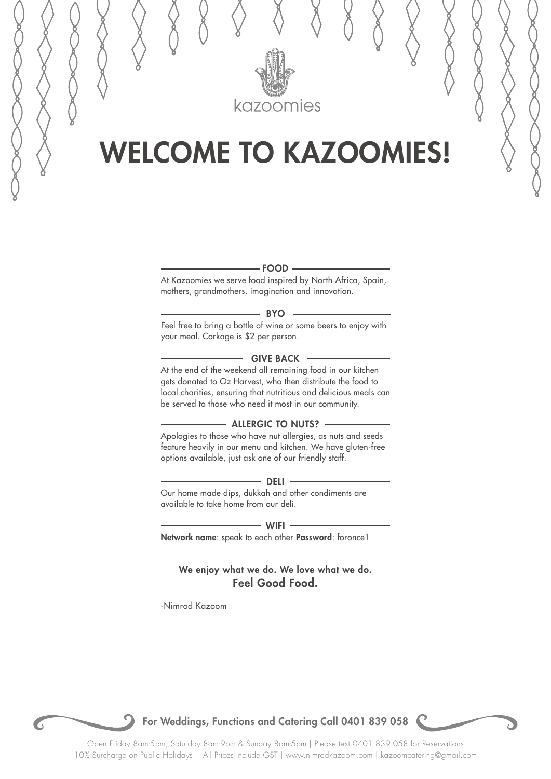

## WELCOME TO KAZOOMIES!



At Kazoomies we serve food inspired by North Africa, Spain, mothers, grandmothers, imagination and innovation.

#### $-$  BYO  $-$

Feel free to bring a bottle of wine or some beers to enjoy with your meal. Corkage is \$2 per person.

### $-$  GIVE BACK  $-$

At the end of the weekend all remaining food in our kitchen gets donated to Oz Harvest, who then distribute the food to local charities, ensuring that nutritious and delicious meals can be served to those who need it most in our community.

### - ALLERGIC TO NUTS? -

Apologies to those who have nut allergies, as nuts and seeds feature heavily in our menu and kitchen. We have gluten-free options available, just ask one of our friendly staff.

#### $-$  Deli  $-$

Our home made dips, dukkah and other condiments are available to take home from our deli.

- WIFI -

Network name: speak to each other Password: foronce1

We enjoy what we do. We love what we do. Feel Good Food.

-Nimrod Kazoom

For Weddings, Functions and Catering Call 0401 839 058

Open Friday 8am-5pm, Saturday 8am-9pm & Sunday 8am-5pm | Please text 0401 839 058 for Reservations 10% Surcharge on Public Holidays | All Prices Include GST | www.nimrodkazoom.com | kazoomcatering@gmail.com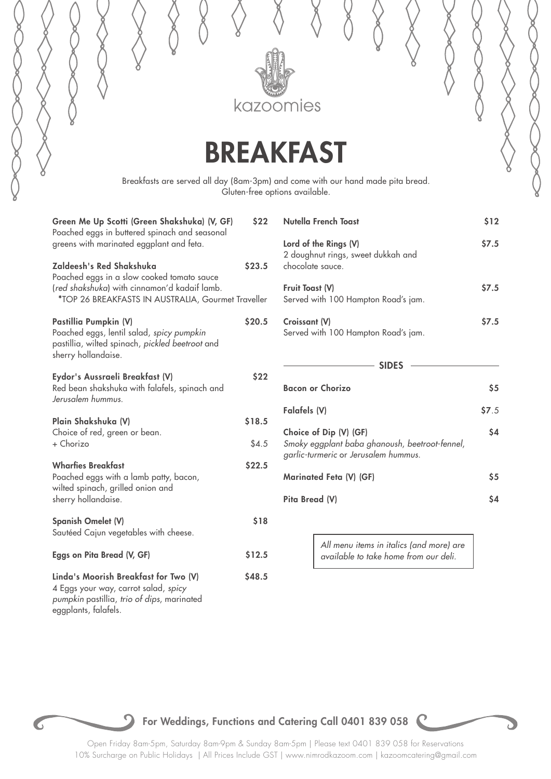

## BREAKFAST

Breakfasts are served all day (8am-3pm) and come with our hand made pita bread. Gluten-free options available.

| Green Me Up Scotti (Green Shakshuka) (V, GF)<br>Poached eggs in buttered spinach and seasonal<br>greens with marinated eggplant and feta.                                    | \$22            |
|------------------------------------------------------------------------------------------------------------------------------------------------------------------------------|-----------------|
| Zaldeesh's Red Shakshuka<br>Poached eggs in a slow cooked tomato sauce<br>(red shakshuka) with cinnamon'd kadaif lamb.<br>*TOP 26 BREAKFASTS IN AUSTRALIA, Gourmet Traveller | \$23.5          |
|                                                                                                                                                                              |                 |
| Pastillia Pumpkin (V)<br>Poached eggs, lentil salad, spicy pumpkin<br>pastillia, wilted spinach, pickled beetroot and<br>sherry hollandaise.                                 | \$20.5          |
| Eydor's Aussraeli Breakfast (V)<br>Red bean shakshuka with falafels, spinach and<br>Jerusalem hummus.                                                                        | \$22            |
| Plain Shakshuka (V)<br>Choice of red, green or bean.<br>+ Chorizo                                                                                                            | \$18.5<br>\$4.5 |
| <b>Wharfies Breakfast</b><br>Poached eggs with a lamb patty, bacon,<br>wilted spinach, grilled onion and<br>sherry hollandaise.                                              | \$22.5          |
| Spanish Omelet (V)<br>Sautéed Cajun vegetables with cheese.                                                                                                                  | \$18            |
| Eggs on Pita Bread (V, GF)                                                                                                                                                   | \$12.5          |
| Linda's Moorish Breakfast for Two (V)<br>4 Eggs your way, carrot salad, spicy<br>pumpkin pastillia, trio of dips, marinated<br>eggplants, falafels.                          | \$48.5          |

| Nutella French Toast                                                                                             | \$12        |
|------------------------------------------------------------------------------------------------------------------|-------------|
| Lord of the Rings (V)<br>2 doughnut rings, sweet dukkah and<br>chocolate sauce.                                  | \$7.5       |
| <b>Fruit Toast (V)</b><br>Served with 100 Hampton Road's jam.                                                    | \$7.5       |
| Croissant (V)<br>Served with 100 Hampton Road's jam.                                                             | <b>S7.5</b> |
| <b>SIDES</b>                                                                                                     |             |
| <b>Bacon or Chorizo</b>                                                                                          | \$5         |
| Falafels (V)                                                                                                     | \$7.5       |
| Choice of Dip (V) (GF)<br>Smoky eggplant baba ghanoush, beetroot-fennel,<br>garlic-turmeric or Jerusalem hummus. | \$4         |
| Marinated Feta (V) (GF)                                                                                          | \$5         |

Pita Bread (V) \$4

*All menu items in italics (and more) are available to take home from our deli.*



## For Weddings, Functions and Catering Call 0401 839 058

Open Friday 8am-5pm, Saturday 8am-9pm & Sunday 8am-5pm | Please text 0401 839 058 for Reservations 10% Surcharge on Public Holidays | All Prices Include GST | www.nimrodkazoom.com | kazoomcatering@gmail.com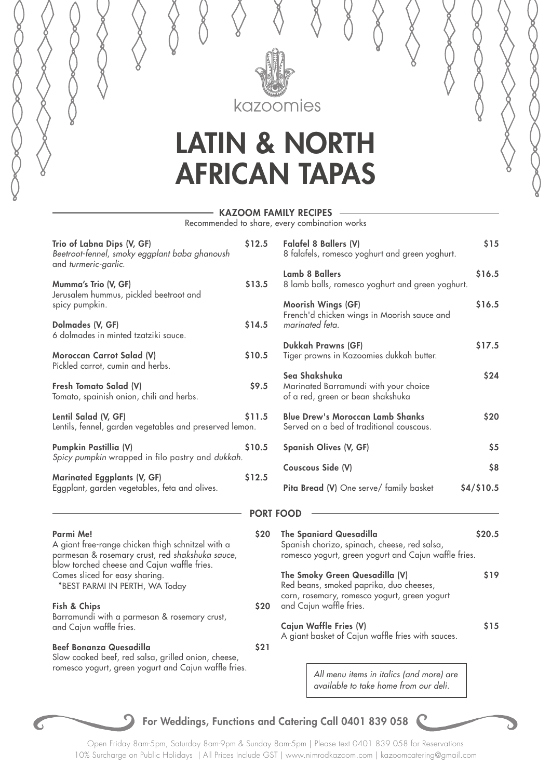

## LATIN & NORTH AFRICAN TAPAS

### KAZOOM FAMILY RECIPES

Recommended to share, every combination works

| Trio of Labna Dips (V, GF)<br>Beetroot-fennel, smoky eggplant baba ghanoush<br>and turmeric-garlic.               | \$12.5           | Falafel 8 B<br>8 falafels,                     |
|-------------------------------------------------------------------------------------------------------------------|------------------|------------------------------------------------|
| Mumma's Trio (V, GF)                                                                                              | \$13.5           | Lamb 8 Ba<br>8 lamb bal                        |
| Jerusalem hummus, pickled beetroot and<br>spicy pumpkin.                                                          |                  | Moorish W<br>French'd ch                       |
| Dolmades (V, GF)<br>6 dolmades in minted tzatziki sauce.                                                          | \$14.5           | marinated                                      |
| Moroccan Carrot Salad (V)<br>Pickled carrot, cumin and herbs.                                                     | \$10.5           | Dukkah Pr<br>Tiger praw                        |
| Fresh Tomato Salad (V)<br>Tomato, spainish onion, chili and herbs.                                                | \$9.5            | Sea Shaks<br>Marinated<br>of a red, gi         |
| Lentil Salad (V, GF)<br>Lentils, fennel, garden vegetables and preserved lemon.                                   | \$11.5           | <b>Blue Drew</b><br>Served on                  |
| Pumpkin Pastillia (V)<br>Spicy pumpkin wrapped in filo pastry and dukkah.                                         | \$10.5           | Spanish O                                      |
|                                                                                                                   | \$12.5           | Couscous !                                     |
| Marinated Eggplants (V, GF)<br>Eggplant, garden vegetables, feta and olives.                                      |                  | Pita Bread                                     |
|                                                                                                                   | <b>PORT FOOD</b> |                                                |
| Parmi Me!<br>A giant free-range chicken thigh schnitzel with a<br>parmesan & rosemary crust, red shakshuka sauce, | \$20             | <b>The Spania</b><br>Spanish cho<br>romesco yo |
| blow torched cheese and Cajun waffle fries.<br>Comes sliced for easy sharing.<br>*BEST PARMI IN PERTH, WA Today   |                  | The Smoky<br>Red beans,                        |
| Fish & Chips<br>Barramundi with a parmesan & rosemary crust,                                                      | \$20             | corn, rosem<br>and Cajun                       |
| and Cajun waffle fries.                                                                                           |                  | <b>Cajun Waff</b><br>A giant bas               |
| <b>Beef Bonanza Quesadilla</b><br>Slow cooked beef, red salsa, grilled onion, cheese,                             | \$21             |                                                |
| romesco yogurt, green yogurt and Cajun waffle fries.                                                              |                  | All                                            |
|                                                                                                                   |                  |                                                |

| 5 | Falafel 8 Ballers (V)<br>8 falafels, romesco yoghurt and green yoghurt.                                                                              | \$15       |
|---|------------------------------------------------------------------------------------------------------------------------------------------------------|------------|
| 5 | <b>Lamb 8 Ballers</b><br>8 lamb balls, romesco yoghurt and green yoghurt.                                                                            | \$16.5     |
| 5 | Moorish Wings (GF)<br>French'd chicken wings in Moorish sauce and<br>marinated feta.                                                                 | \$16.5     |
| 5 | <b>Dukkah Prawns (GF)</b><br>Tiger prawns in Kazoomies dukkah butter.                                                                                | \$17.5     |
| 5 | Sea Shakshuka<br>Marinated Barramundi with your choice<br>of a red, green or bean shakshuka                                                          | \$24       |
| 5 | <b>Blue Drew's Moroccan Lamb Shanks</b><br>Served on a bed of traditional couscous.                                                                  | \$20       |
| 5 | Spanish Olives (V, GF)                                                                                                                               | \$5        |
| 5 | Couscous Side (V)                                                                                                                                    | \$8        |
|   | Pita Bread (V) One serve/ family basket                                                                                                              | \$4/\$10.5 |
|   | <b>RT FOOD</b>                                                                                                                                       |            |
| 0 | <b>The Spaniard Quesadilla</b><br>Spanish chorizo, spinach, cheese, red salsa,<br>romesco yogurt, green yogurt and Cajun waffle fries.               | \$20.5     |
| 0 | The Smoky Green Quesadilla (V)<br>Red beans, smoked paprika, duo cheeses,<br>corn, rosemary, romesco yogurt, green yogurt<br>and Cajun waffle fries. | \$19       |
|   | Cajun Waffle Fries (V)                                                                                                                               | \$15       |

sket of Cajun waffle fries with sauces.

*All menu items in italics (and more) are available to take home from our deli.*

## For Weddings, Functions and Catering Call 0401 839 058

Open Friday 8am-5pm, Saturday 8am-9pm & Sunday 8am-5pm | Please text 0401 839 058 for Reservations 10% Surcharge on Public Holidays | All Prices Include GST | www.nimrodkazoom.com | kazoomcatering@gmail.com